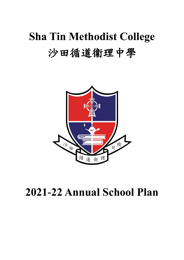# **Sha Tin Methodist College** 沙田循道衞理中學



## **2021-22 Annual School Plan**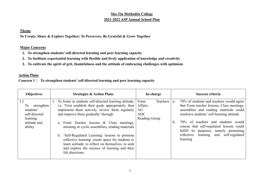#### **Sha Tin Methodist College 2021-2022 ASP Annual School Plan**

#### **Theme**

**To Create, Share & Explore Together; To Persevere, Be Grateful & Grow Together**

#### **Major Concerns**

- **1. To strengthen students'self-directed learning and peer learning capacity**
- **2. To facilitate experiential learning with flexible and lively application of knowledge and creativity**
- **3. To cultivate the spirit of grit, thankfulness and the attitude of embracing challenges with optimism**

#### **Action Plans**

 **Concern 1**: **To strengthen students' self-directed learning and peer learning capacity** 

| <b>Objectives</b>                                                                            | <b>Strategies &amp; Action Plans</b>                                                                                                                                                                                                                                                                                                                                                                                                                                                                                       | In-charge                                                        | Success criteria                                                                                                                                                                                                                                                                                                                                                             |
|----------------------------------------------------------------------------------------------|----------------------------------------------------------------------------------------------------------------------------------------------------------------------------------------------------------------------------------------------------------------------------------------------------------------------------------------------------------------------------------------------------------------------------------------------------------------------------------------------------------------------------|------------------------------------------------------------------|------------------------------------------------------------------------------------------------------------------------------------------------------------------------------------------------------------------------------------------------------------------------------------------------------------------------------------------------------------------------------|
| 1.1<br>To<br>strengthen<br>students'<br>self-directed<br>learning<br>attitude and<br>ability | 1. To foster in students self-directed learning attitude,<br>i.e. 'First establish their goals appropriately, then<br>implement them actively, review them regularly<br>and improve them gradually' through:<br>a. Form Teacher lessons & Class meetings,<br>morning or cyclic assemblies, reading materials<br>b. 'Self-Regulated Learning' lessons to promote<br>reflective learning: create space for students to<br>learn solitude, to reflect on themselves, to seek<br>and explore the essence of learning and their | Teachers<br>Form<br>Affairs<br>AG<br><b>ADC</b><br>Reading Group | 70% of students and teachers would agree<br>a.<br>that Form teacher lessons, Class meetings,<br>assemblies and reading materials could<br>reinforce students' self-learning attitude<br>70% of teachers and students would<br>b.<br>concur that self-regulated lessons could<br>fulfill its purposes, namely promoting<br>reflective learning and self-regulated<br>learning |
|                                                                                              | life directions                                                                                                                                                                                                                                                                                                                                                                                                                                                                                                            |                                                                  |                                                                                                                                                                                                                                                                                                                                                                              |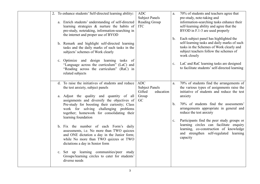|  | 2. To enhance students' Self-directed learning ability:                                          | <b>ADC</b>            | a.             | 70% of students and teachers agree that        |
|--|--------------------------------------------------------------------------------------------------|-----------------------|----------------|------------------------------------------------|
|  |                                                                                                  | <b>Subject Panels</b> |                | pre-study, note-taking and                     |
|  | a. Enrich students' understanding of self-directed                                               | Reading Group         |                | information-searching tasks enhance their      |
|  | learning strategies & nurture the habits of                                                      | <b>ITC</b>            |                | self-learning ability and agree that the       |
|  | pre-study, notetaking, information-searching in                                                  |                       |                | BYOD in F.1-3 are used properly                |
|  | the internet and proper use of BYOD                                                              |                       | $\mathbf b$ .  | Each subject panel has highlighted the         |
|  |                                                                                                  |                       |                | self-learning tasks and daily marks of such    |
|  | b. Remark and highlight self-directed learning<br>tasks and the daily marks of such tasks in the |                       |                | tasks in the Schemes of Work clearly and       |
|  | subjects' schemes of Work clearly                                                                |                       |                | subject teachers follow the schemes of         |
|  |                                                                                                  |                       |                | work closely                                   |
|  | c. Optimize and design learning tasks of                                                         |                       |                |                                                |
|  | "Language across the curriculum" (LaC) and                                                       |                       | c.             | LaC and RaC learning tasks are designed        |
|  | "Reading across the curriculum" (RaC) in                                                         |                       |                | to facilitate students' self-directed learning |
|  | related subjects                                                                                 |                       |                |                                                |
|  |                                                                                                  |                       |                |                                                |
|  | d. To raise the initiatives of students and reduce                                               | <b>ADC</b>            | a.             | 70% of students find the arrangements of       |
|  | the test anxiety, subject panels                                                                 | <b>Subject Panels</b> |                | the various types of assignments raise the     |
|  |                                                                                                  | Gifted<br>education   |                | initiative of students and reduce the test     |
|  | a. Adjust the quality and quantity of all                                                        | Group                 |                | anxiety                                        |
|  | assignments and diversify the objectives of                                                      | GC                    |                |                                                |
|  | Pre-study for boosting their curiosity; Class                                                    |                       | $\mathbf b$ .  | 70% of students find the assessments'          |
|  | work for solving challenging problems                                                            |                       |                | arrangements appropriate in general and        |
|  | together; homework for consolidating their                                                       |                       |                | reduce the test anxiety                        |
|  | learning foundation                                                                              |                       | $\mathbf{c}$ . | Participants find the peer study groups or     |
|  |                                                                                                  |                       |                | learning circles can facilitate enquiry        |
|  | b. Fix the number of each Form's daily                                                           |                       |                | learning, co-construction of knowledge         |
|  | assessments, i.e. No more than TWO quizzes                                                       |                       |                | and strengthen self-regulated learning         |
|  | and ONE dictation a day in the Junior form;                                                      |                       |                | capacity                                       |
|  | while No more than TWO quizzes or TWO                                                            |                       |                |                                                |
|  | dictations a day in Senior form                                                                  |                       |                |                                                |
|  | c. Set up learning communities/peer study                                                        |                       |                |                                                |
|  | Groups/learning circles to cater for students'                                                   |                       |                |                                                |
|  | diverse needs                                                                                    |                       |                |                                                |
|  |                                                                                                  |                       |                |                                                |
|  |                                                                                                  |                       |                |                                                |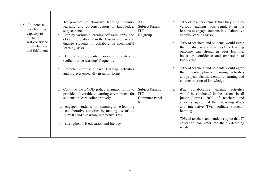| To increase<br>1.2<br>peer learning<br>capacity to<br>boost up<br>self-confidenc<br>e, satisfaction<br>and fulfilment | 1. To promote collaborative learning, enquiry<br>learning and co-construction of knowledge,<br>subject panels<br>Employ various e-learning software, apps, and<br>a.<br>eLearning platforms in the lessons regularly to<br>engage students in collaborative meaningful<br>learning tasks<br>b. Demonstrate students' co-learning outcome<br>(collaborative learning) frequently<br>c. Promote interdisciplinary learning activities<br>and projects especially in junior forms | <b>ADC</b><br><b>Subject Panels</b><br><b>ITC</b><br>FT group | 70% of teachers remark that they employ<br>a.<br>various teaching tools regularly in the<br>lessons to engage students in collaborative<br>enquiry learning tasks<br>70% of teachers and students would agree<br>$\mathbf{b}$ .<br>that the display and sharing of the learning<br>outcome can strengthen peer learning,<br>boost up confidence and ownership of<br>knowledge<br>70% of teachers and students would agree<br>$C_{\bullet}$<br>that interdisciplinary learning activities<br>and projects facilitate enquiry learning and<br>co-construction of knowledge |
|-----------------------------------------------------------------------------------------------------------------------|--------------------------------------------------------------------------------------------------------------------------------------------------------------------------------------------------------------------------------------------------------------------------------------------------------------------------------------------------------------------------------------------------------------------------------------------------------------------------------|---------------------------------------------------------------|--------------------------------------------------------------------------------------------------------------------------------------------------------------------------------------------------------------------------------------------------------------------------------------------------------------------------------------------------------------------------------------------------------------------------------------------------------------------------------------------------------------------------------------------------------------------------|
|                                                                                                                       | 2. Continue the BYOD policy in junior forms to<br>provide a favorable e-learning environment for<br>students to learn collaboratively<br>engages students in meaningful e-learning<br>collaborative activities by making use of the<br>BYOD and e-learning interactive TVs<br>b. strengthen ITE education and literacy                                                                                                                                                         | Subject Panels;<br><b>ITC</b><br><b>Computer Panel</b><br>RC  | collaborative learning<br>activities<br>iPad<br>a.<br>would be conducted in the lessons in all<br>junior Forms. 70% of teachers and<br>students agree that the e-learning iPads<br>and interactive TVs facilitate students'<br>learning<br>70% of teachers and students agree that IT<br>b.<br>education can cater for their e-learning<br>needs                                                                                                                                                                                                                         |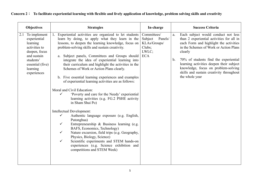| <b>Objectives</b>                                                                                                                                            | <b>Strategies</b>                                                                                                                                                                                                                                                                                                                                                                                                                                                                                                                                                                                                                                                                                                                                                                                                                                                                                                                                                                                                                                                                                                                                           | In-charge                                                                          | <b>Success Criteria</b>                                                                                                                                                                                                                                                                                                                                                               |
|--------------------------------------------------------------------------------------------------------------------------------------------------------------|-------------------------------------------------------------------------------------------------------------------------------------------------------------------------------------------------------------------------------------------------------------------------------------------------------------------------------------------------------------------------------------------------------------------------------------------------------------------------------------------------------------------------------------------------------------------------------------------------------------------------------------------------------------------------------------------------------------------------------------------------------------------------------------------------------------------------------------------------------------------------------------------------------------------------------------------------------------------------------------------------------------------------------------------------------------------------------------------------------------------------------------------------------------|------------------------------------------------------------------------------------|---------------------------------------------------------------------------------------------------------------------------------------------------------------------------------------------------------------------------------------------------------------------------------------------------------------------------------------------------------------------------------------|
| To implement<br>2.1<br>experiential<br>learning<br>activities to<br>deepen, focus<br>and sustain<br>students'<br>essential (five)<br>learning<br>experiences | Experiential activities are organized to let students<br>learn by doing, to apply what they learn in the<br>lessons, to deepen the learning knowledge, focus on<br>problem-solving skills and sustain creativity.<br>a. Subject panels, Committees and Groups should<br>integrate the idea of experiential learning into<br>their curriculum and highlight the activities in the<br>Schemes of Work or Action Plans clearly.<br>b. Five essential learning experiences and examples<br>of experiential learning activities are as follows:<br>Moral and Civil Education:<br>'Poverty and care for the Needy' experiential<br>$\checkmark$<br>learning activities (e.g. FG.2 PSHE activity<br>in Sham Shui Po)<br>Intellectual Development:<br>Authentic language exposure (e.g. English,<br>$\checkmark$<br>Putonghua)<br>Entrepreneurship & Business learning (e.g.<br>$\checkmark$<br>BAFS, Economics, Technology)<br>Nature excursion, field trips (e.g. Geography,<br>$\checkmark$<br>Physics, Biology, Science)<br>$\checkmark$<br>Scientific experiments and STEM hands-on<br>experiences (e.g. Science exhibition and<br>competitions and STEM Week) | Committees/<br>Subject<br>Panels/<br>KLAs/Groups/<br>Clubs;<br>LWLC;<br><b>ECA</b> | Each subject would conduct not less<br>a.<br>than 2 experiential activities for all in<br>each Form and highlight the activities<br>in the Schemes of Work or Action Plans<br>clearly<br>70% of students find the experiential<br>b.<br>learning activities deepen their subject<br>knowledge, focus on problem-solving<br>skills and sustain creativity throughout<br>the whole year |

**Concern 2**: **To facilitate experiential learning with flexible and lively application of knowledge, problem solving skills and creativity**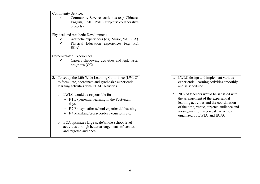| <b>Community Service:</b><br>Community Services activities (e.g. Chinese,<br>$\checkmark$<br>English, RME, PSHE subjects' collaborative<br>projects)                                                                                                                                                                                                                                                                       |                                                                                                                                                                                                                                                                                                                                                         |
|----------------------------------------------------------------------------------------------------------------------------------------------------------------------------------------------------------------------------------------------------------------------------------------------------------------------------------------------------------------------------------------------------------------------------|---------------------------------------------------------------------------------------------------------------------------------------------------------------------------------------------------------------------------------------------------------------------------------------------------------------------------------------------------------|
| Physical and Aesthetic Development:<br>Aesthetic experiences (e.g. Music, VA, ECA)<br>$\checkmark$<br>Physical Education experiences (e.g. PE,<br>$\checkmark$<br>ECA)<br>Career-related Experiences:<br>Careers shadowing activities and ApL taster<br>$\checkmark$<br>programs $(CC)$                                                                                                                                    |                                                                                                                                                                                                                                                                                                                                                         |
| 2. To set up the Life-Wide Learning Committee (LWLC)<br>to formulate, coordinate and synthesize experiential<br>learning activities with ECAC activities<br>a. LWLC would be responsible for<br>$\div$ F.1 Experiential learning in the Post-exam<br>days<br>$\div$ F.2 Fridays' after-school experiential learning<br>$\div$ F.4 Mainland/cross-border excursions etc.<br>b. ECA optimizes large-scale/whole-school level | a. LWLC design and implement various<br>experiential learning activities smoothly<br>and as scheduled<br>70% of teachers would be satisfied with<br>the arrangement of the experiential<br>learning activities and the coordination<br>of the time, venue, targeted audience and<br>arrangement of large-scale activities<br>organized by LWLC and ECAC |
| activities through better arrangements of venues<br>and targeted audience                                                                                                                                                                                                                                                                                                                                                  |                                                                                                                                                                                                                                                                                                                                                         |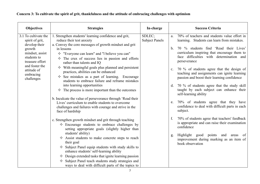## **Concern 3: To cultivate the spirit of grit, thankfulness and the attitude of embracing challenges with optimism**

| <b>Objectives</b>                                                                                                                                                                   | <b>Strategies</b>                                                                                                                                                                                                                                                                                                                                                                                                                                                                                                                                                                                                                                                                                                                                                                                                                      | In-charge                       | <b>Success Criteria</b>                                                                                                                                                                                                                                                                                                                                                                                                                                                                                                                                                                                                                                                   |
|-------------------------------------------------------------------------------------------------------------------------------------------------------------------------------------|----------------------------------------------------------------------------------------------------------------------------------------------------------------------------------------------------------------------------------------------------------------------------------------------------------------------------------------------------------------------------------------------------------------------------------------------------------------------------------------------------------------------------------------------------------------------------------------------------------------------------------------------------------------------------------------------------------------------------------------------------------------------------------------------------------------------------------------|---------------------------------|---------------------------------------------------------------------------------------------------------------------------------------------------------------------------------------------------------------------------------------------------------------------------------------------------------------------------------------------------------------------------------------------------------------------------------------------------------------------------------------------------------------------------------------------------------------------------------------------------------------------------------------------------------------------------|
| 3.1 To cultivate the<br>spirit of grit,<br>develop their<br>growth<br>mindset, assist<br>students to<br>treasure effort<br>and foster the<br>attitude of<br>embracing<br>challenges | 1. Strengthen students' learning confidence and grit,<br>reduce their test anxiety<br>a. Convey the core messages of growth mindset and grit<br>in lessons<br>$\Diamond$ "Everyone can learn" and "I believe you can"<br>$\diamond$ The crux of success lies in passion and efforts<br>rather than talents and IQ<br>$\Diamond$ With meaningful goals plus planned and persistent<br>practices, abilities can be enhanced<br>$\Diamond$ See mistakes as a part of learning. Encourage<br>students to embrace failure and reframe mistakes<br>into learning opportunities<br>$\Diamond$ The process is more important than the outcomes<br>b. Inculcate the value of perseverance through 'Read their<br>Lives' curriculum to enable students to overcome<br>challenges and failures with courage and strive in the<br>face of hardship | SDLEC;<br><b>Subject Panels</b> | 70% of teachers and students value effort in<br>a.<br>learning. Students can learn from mistakes.<br>70 % students find 'Read their Lives'<br>b.<br>curriculum inspiring that encourage them to<br>face difficulties with determination and<br>perseverance<br>70 % of students agree that the design of<br>$\mathbf{c}$ .<br>teaching and assignments can ignite learning<br>passion and boost their learning confidence<br>70 % of students agree that the study skill<br>$d_{\cdot}$<br>taught by each subject can enhance their<br>self-learning ability<br>70% of students agree that they have<br>e.<br>confidence to deal with difficult parts in each<br>subject. |
|                                                                                                                                                                                     | c. Strengthen growth mindset and grit through teaching<br>$\Diamond$ Encourage students to embrace challenges by<br>setting appropriate goals (slightly higher than<br>students' ability)<br>$\Diamond$ Assist students to make concrete steps to reach<br>their goal<br>$\Diamond$ Subject Panel equip students with study skills to<br>enhance students' self-learning ability<br>$\Diamond$ Design extended tasks that ignite learning passion<br>$\Diamond$ Subject Panel teach students study strategies and<br>ways to deal with difficult parts of the topics to                                                                                                                                                                                                                                                                |                                 | 70% of students agree that teachers' feedback<br>f.<br>is appropriate and can raise their examination<br>confidence<br>Highlight good points and<br>of<br>areas<br>g.<br>improvement during marking as an item of<br>book observation                                                                                                                                                                                                                                                                                                                                                                                                                                     |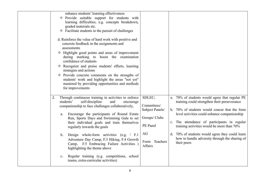|                                             | enhance students' learning effectiveness<br>$\Leftrightarrow$ Provide suitable support for students with<br>learning difficulties, e.g. concepts breakdown,<br>graded materials etc.<br>$\Diamond$ Facilitate students in the pursuit of challenges<br>d. Reinforce the value of hard work with positive and<br>concrete feedback in the assignments and<br>assessments<br>$\Diamond$ Highlight good points and areas of improvement<br>during marking to boost the examination<br>confidence of students<br>$\Diamond$ Recognize and praise students' efforts, learning<br>strategies and actions<br>$\Diamond$ Provide concrete comments on the strengths of<br>students' work and highlight the areas "not yet"<br>mastered by providing opportunities and methods<br>for improvements |                                                                                                         |                                                                                                                                                                                                                                                                                                                                                                                                                   |
|---------------------------------------------|-------------------------------------------------------------------------------------------------------------------------------------------------------------------------------------------------------------------------------------------------------------------------------------------------------------------------------------------------------------------------------------------------------------------------------------------------------------------------------------------------------------------------------------------------------------------------------------------------------------------------------------------------------------------------------------------------------------------------------------------------------------------------------------------|---------------------------------------------------------------------------------------------------------|-------------------------------------------------------------------------------------------------------------------------------------------------------------------------------------------------------------------------------------------------------------------------------------------------------------------------------------------------------------------------------------------------------------------|
| 2.<br>a.<br>$\mathbf{b}$ .<br>$C_{\bullet}$ | Through continuous training in activities to enforce<br>students'<br>self-discipline<br>and<br>encourage<br>companionship to face challenges collaboratively,<br>Encourage the participants of Round Estate<br>Run, Sports Days and Swimming Gala to set<br>their individual goals and train themselves<br>regularly towards the goals<br>Design whole-form activities (e.g. $:$ F.1<br>Adventure Day Camp, F.3 Hiking, F.4 Growth<br>Camp, F.5 Embracing Failure Activities )<br>highlighting the theme above<br>Regular training (e.g. competitions, school<br>teams, extra-curricular activities)                                                                                                                                                                                      | SDLEC;<br>Committees/<br>Subject Panels/<br>Groups/ Clubs<br>PE Panel<br>AG<br>Form Teachers<br>Affairs | a. 70% of students would agree that regular PE<br>training could strengthen their perseverance<br>b. 70% of students would concur that the form<br>level activities could enhance companionship<br>c. The attendance of participants in regular<br>training activities would be more than 70%<br>d. 70% of students would agree they could learn<br>how to handle adversity through the sharing of<br>their peers |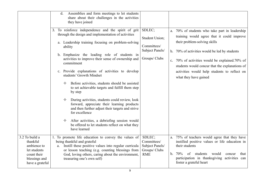|                                                                                                              | Assemblies and form meetings to let students<br>d.<br>share about their challenges in the activities<br>they have joined                                                                                                                                                                                                                                                                                                                                                                                                                                                                                                                                                         |                                                                             |                                                                                                                                                                                                                                                                                                                                                            |
|--------------------------------------------------------------------------------------------------------------|----------------------------------------------------------------------------------------------------------------------------------------------------------------------------------------------------------------------------------------------------------------------------------------------------------------------------------------------------------------------------------------------------------------------------------------------------------------------------------------------------------------------------------------------------------------------------------------------------------------------------------------------------------------------------------|-----------------------------------------------------------------------------|------------------------------------------------------------------------------------------------------------------------------------------------------------------------------------------------------------------------------------------------------------------------------------------------------------------------------------------------------------|
|                                                                                                              | 3. To reinforce independence and the spirit of grit<br>through the design and implementation of activities<br>a. Leadership training focusing on problem-solving<br>ability<br>b. Emphasize the leading role of students in<br>activities to improve their sense of ownership and<br>commitment<br>c. Provide explanations of activities to develop<br>students' Growth Mindset<br>Before activities, students should be assisted<br>✧<br>to set achievable targets and fulfill them step<br>by step<br>During activities, students could review, look<br>✧<br>forward, appreciate their learning products<br>and then further adjust their targets and strive<br>for excellence | SDLEC;<br>Student Union;<br>Committees/<br>Subject Panels/<br>Groups/ Clubs | a. 70% of students who take part in leadership<br>training would agree that it could improve<br>their problem-solving skills<br>b. 70% of activities would be led by students<br>c. 70% of activities would be explained.70% of<br>students would concur that the explanations of<br>activities would help students to reflect on<br>what they have gained |
|                                                                                                              | After activities, a debriefing session would<br>✧<br>be offered to let students reflect on what they<br>have learned                                                                                                                                                                                                                                                                                                                                                                                                                                                                                                                                                             |                                                                             |                                                                                                                                                                                                                                                                                                                                                            |
| 3.2 To build a<br>thankful<br>ambience to<br>let students<br>count their<br>blessings and<br>have a grateful | 1. To promote life education to convey the values of<br>being thankful and grateful<br>Instill these positive values into regular curricula<br>a.<br>or lesson teaching (e.g. counting blessings from<br>God, loving others, caring about the environment,<br>treasuring one's own self)                                                                                                                                                                                                                                                                                                                                                                                         | SDLEC;<br>Committees/<br>Subject Panels/<br>Groups/ Clubs<br><b>RME</b>     | 75% of teachers would agree that they have<br>a.<br>instilled positive values or life education in<br>their students<br>70%<br>of students<br>would<br>concur<br>that<br>b.<br>participation in thanksgiving activities can<br>foster a grateful heart                                                                                                     |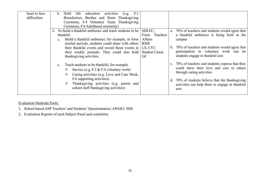| heart to face<br>difficulties | activities<br>F.1<br>life<br>education<br>Hold<br>b.<br>(e.g.<br>Benediction, Brother and Sister Thanksgiving                                                                                                                                                                                                  |                                                                                    |                                                                                                                                                                                                                                            |
|-------------------------------|----------------------------------------------------------------------------------------------------------------------------------------------------------------------------------------------------------------------------------------------------------------------------------------------------------------|------------------------------------------------------------------------------------|--------------------------------------------------------------------------------------------------------------------------------------------------------------------------------------------------------------------------------------------|
|                               | Ceremony, F.4 Volunteer Team Thanksgiving<br>Ceremony, F.6 Adulthood ceremony)                                                                                                                                                                                                                                 |                                                                                    |                                                                                                                                                                                                                                            |
|                               | To build a thankful ambience and teach students to be<br>thankful<br>Build a thankful ambience: for example, in form<br>a.<br>teacher periods, students could share with others<br>their thankful events and record those events in<br>their weekly journals. They could also hold<br>thanksgiving activities. | SDLEC;<br>Form Teachers<br>Affairs<br>RME<br>LS, CYC<br><b>Student Union</b><br>GC | a. 70% of teachers and students would agree that<br>a thankful ambience is being built in the<br>campus<br>b. 70% of teachers and students would agree that<br>participation in voluntary work can let<br>students engage in thankful acts |
|                               | Teach students to be thankful, for example<br>$\mathbf{b}$ .<br>Service (e.g. F.2 & F.4 voluntary work)<br>Caring activities (e.g. Love and Care Week,<br>F.6 supporting activities)<br>Thanksgiving activities (e.g. parent and<br>✧<br>school staff thanksgiving activities)                                 |                                                                                    | c. 70% of teachers and students express that they<br>could show their love and care to others<br>through caring activities<br>d. 70% of students believe that the thanks giving<br>activities can help them to engage in thankful<br>acts  |

## Evaluation Methods/Tools:

1. School-based ASP Teachers' and Students' Questionnaires; APASO; SHS

2. Evaluation Reports of each Subject Panel and committee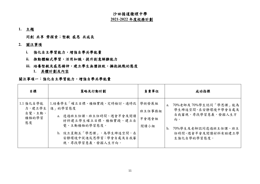#### 沙田循道衞理中學 **2021-2022** 年度校務計劃

**1.** 主題

同創 共享 齊探索;堅毅 感恩 共成長

- **2.** 關注事項
	- **i.** 強化自主學習能力,增強自學共學能量
	- **ii.** 推動體驗式學習,活用知識,提升創意解難能力
	- iii. 培養堅毅及感恩精神,建立學生無懼挫敗,擁抱挑戰的態度
		- **1.** 具體計劃及內容

#### 關注事項一:強化自主學習能力,增強自學共學能量

| 目標                                           | 策略及行動計劃                                                                                                                                                                       | 負責單位                             | 成功指標                                                                                                                                          |
|----------------------------------------------|-------------------------------------------------------------------------------------------------------------------------------------------------------------------------------|----------------------------------|-----------------------------------------------------------------------------------------------------------------------------------------------|
| 1.1 強化自學能<br>力,建立學生<br>自覺、主動、<br>積極的學習<br>態度 | 1.培養學生「確立目標、積極實踐、定時檢討、適時改<br>進」的學習態度<br>a. 透過班主任課、班主任時間、週會早會及閱讀<br>材料建立學生確立目標、積極實踐、建立自<br>覺、主動積極的學習態度。<br>b. 設立星期五「學思課」,為學生締造空間,在<br>安靜環境中促進反思學習:學會自處及自我審<br>視,尋找學習意義,發掘人生方向。 | 學術發展組<br>班主任事務組<br>早會週會組<br>閱讀小組 | 70%老師及70%學生認同「學思課」能為<br>a.<br>學生締造空間,在安靜環境中學會自處及<br>自我審視,尋找學習意義,發掘人生方<br>向。<br>70%學生及老師認同透過班主任課、班主<br>b.<br>任時間、週會早會及閱讀材料有助建立學<br>生強化自學的學習態度。 |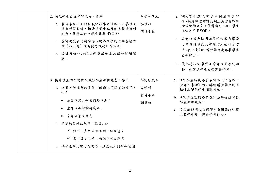| 2. 強化學生自主學習能力,各科<br>a. 裝備學生不同的自我調節學習策略,培養學生<br>課前預習習慣、摘錄課堂重點及網上搜索資料<br>能力,並協助初中學生善用BYOD。<br>b. 各科進度表均明確標示培養自學能力的各種方<br>式(如上述)及有關方式的計分方法。<br>c. 設計及優化跨語文學習活動及跨課程閱讀活<br>動。                          | 學術發展組<br>各學科<br>閲讀小組        | a. 70%學生及老師認同課前預習習<br>慣、摘錄課堂重點及網上搜索資料有<br>助強化學生自主學習能力,初中學生<br>亦能善用 BYOD。<br>b. 各科進度表均明確標示培養自學能<br>力的各種方式及有關方式的計分方<br>法;科任老師根據教學進度培養學生<br>自學能力。<br>c. 優化跨語文學習及跨課程閱讀的活<br>動,能促進學生自我調節學習。 |
|---------------------------------------------------------------------------------------------------------------------------------------------------------------------------------------------------|-----------------------------|----------------------------------------------------------------------------------------------------------------------------------------------------------------------------------------|
| 3. 提升學生的主動性及減低學生測驗焦慮,各科<br>a. 調節各級課業的質量,清晰不同課業的目標,<br>如:<br>● 預習以提升學習興趣為主;<br>● 堂課以拆解難題為本;<br>● 家課以鞏固為先<br>b. 調節每日評估規模、數量, 如:<br>√ 初中不多於兩個小測一個默書;<br>√ 高中每日不多於兩個小測或默書<br>c. 按學生不同能力及需要, 推動成立同儕學習圈 | 學術發展組<br>各學科<br>資優小組<br>輔導組 | a. 70%學生認同各科在課業(預習課、<br>堂課、家課)的安排能增強學生的主<br>動性及減低學生測驗焦慮。<br>b. 70%學生認同各科在評估的安排減低<br>學生測驗焦慮。<br>c. 參與者認同成立同儕學習圈能增強學<br>生共學能量,提升學習信心。                                                    |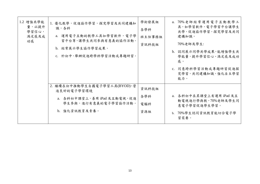| 1.2 增強共學能<br>量,以提升<br>學習信心,<br>滿足感及成<br>功感 | 1. 優化教學,促進協作學習,探究學習及共同建構知<br>識,各科<br>a. 運用電子互動的教學工具如學習軟件, 電子學<br>習平台等,讓學生共同參與有意義的協作活動。<br>b. 經常展示學生協作學習成果。<br>c. 於初中,舉辦促進跨學科學習活動或專題研習。 | 學術發展組<br>各學科<br>班主任事務組<br>資訊科技組 | a. 70%老師經常運用電子互動教學工<br>具,如學習軟件,電子學習平台讓學生<br>共學,促進協作學習,探究學習及共同<br>建構知識。<br>70%老師及學生:<br>b. 認同展示同學共學成果,能增強學生共<br>學能量,提升學習信心、滿足感及成功<br>感。<br>c. 同意跨科學習活動或專題研習促進探<br>究學習,共同建構知識,強化自主學習<br>能力。 |
|--------------------------------------------|----------------------------------------------------------------------------------------------------------------------------------------|---------------------------------|-------------------------------------------------------------------------------------------------------------------------------------------------------------------------------------------|
|                                            | 2. 繼續在初中推動學生自攜電子學習工具(BYOD),營<br>造良好的電子學習環境<br>a. 各科初中課堂上,善用 iPad 及互動電視,促進<br>學生參與,進行有意義的電子學習協作活動。<br>b. 強化資訊教育及素養。                     | 資訊科技組<br>各學科<br>電腦科<br>資源組      | a. 各科初中在其課堂上有運用 iPad 及互<br>動電視進行學與教,70%老師及學生同<br>意電子學習促進學生學習。<br>b. 70%學生認同資訊教育能切合電子學<br>習需要。                                                                                             |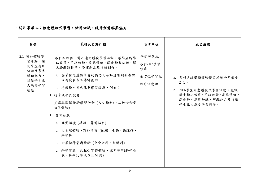## 關注事項二:推動體驗式學習,活用知識,提升創意解難能力

| 目標                                                                    | 策略及行動計劃                                                                                                                                                                                                                                                                                                                                     | 負責單位                                      | 成功指標                                                                                                       |
|-----------------------------------------------------------------------|---------------------------------------------------------------------------------------------------------------------------------------------------------------------------------------------------------------------------------------------------------------------------------------------------------------------------------------------|-------------------------------------------|------------------------------------------------------------------------------------------------------------|
| 2.1 增加體驗學<br>習活動,深<br>化學生應用<br>知識及聚焦<br>解難能力,<br>持續學生五<br>大基要學習<br>經歷 | 1. 各科組課程,引入適切體驗學習活動,讓學生能學<br>以致用、用以致學,反思價值,深化學習知識,聚<br>焦於解難技巧、發揮創意及持續創作。<br>a. 各單位把體驗學習的構思及活動清晰列明在課<br>程進度表或工作計劃內<br>b. 持續學生五大基要學習經歷,例如:<br>I. 德育及公民教育<br>貧窮與關懷體驗學習活動(人文學科:中二級惜食堂<br>社區體驗)<br>II. 智育發展<br>a. 真實語境 (英語、普通話科)<br>b. 大自然體驗、野外考察(地理、生物、物理科、<br>科學科)<br>c. 企業精神營商體驗 (企會財科、經濟科)<br>d. 科學實驗, STEM 實作體驗、探究發明(科學展<br>覽,科學比賽或 STEM 周) | 學術發展組<br>各科/組/學習<br>領域<br>全方位學習組<br>課外活動組 | a. 各科各級舉辦體驗學習活動全年最少<br>2次。<br>b. 70%學生同意體驗式學習活動,能讓<br>學生學以致用、用以致學,反思價值,<br>深化學生應用知識,解難能力及持續<br>學生五大基要學習經歷。 |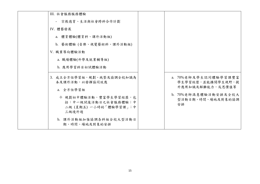| III. 社會服務服務體驗                                                                                                                               |                                                                                                                  |
|---------------------------------------------------------------------------------------------------------------------------------------------|------------------------------------------------------------------------------------------------------------------|
| - 宗教德育、生活與社會跨科合作計劃                                                                                                                          |                                                                                                                  |
| IV. 體藝發展                                                                                                                                    |                                                                                                                  |
| a. 體育體驗(體育科、課外活動組)                                                                                                                          |                                                                                                                  |
| b. 藝術體驗 (音樂、視覺藝術科、課外活動組)                                                                                                                    |                                                                                                                  |
| V. 職業導向體驗活動                                                                                                                                 |                                                                                                                  |
| a. 職場體驗(升學及就業輔導組)                                                                                                                           |                                                                                                                  |
| b. 應用學習科目初試體驗活動                                                                                                                             |                                                                                                                  |
| 3. 成立全方位學習組,規劃、統整及協調全校知識為<br>本及課外活動,以發揮協同效應<br>a. 全方位學習組<br>◆ 規劃初中體驗活動,豐富學生學習經歷,包<br>括:中一級試後活動日之社會服務體驗;中<br>二級 (星期五) 一小時的「體驗學習課」;中<br>三級境外遊 | a. 70%老師及學生認同體驗學習課豐富<br>學生學習經歷,並能擴闊學生視野,提<br>升應用知識及解難能力,反思價值等<br>b. 70%老師滿意體驗活動安排及全校大<br>型活動日期、時間、場地及對象的協調<br>安排 |
| b. 課外活動組加強協調各科組全校大型活動日<br>期、時間、場地及對象的安排                                                                                                     |                                                                                                                  |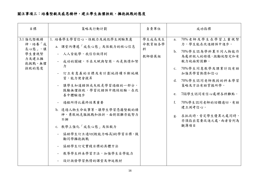## 關注事項三:培養堅毅及感恩精神,建立學生無懼挫敗,擁抱挑戰的態度

| 目標                                                                  | 策略及行動計劃                                                                                                                                                                                                                                                                                                                                                                                              | 負責單位                           | 成功指標                                                                                                                                                                                                                                                                                        |
|---------------------------------------------------------------------|------------------------------------------------------------------------------------------------------------------------------------------------------------------------------------------------------------------------------------------------------------------------------------------------------------------------------------------------------------------------------------------------------|--------------------------------|---------------------------------------------------------------------------------------------------------------------------------------------------------------------------------------------------------------------------------------------------------------------------------------------|
| 3.1 強化堅毅精<br>神,培養「成<br>長心態 , 讓<br>學生重視努<br>力及建立擁<br>抱挑戰、無懼<br>挫敗的態度 | 1. 培養學生學習信心、恆毅力及減低學生測驗焦慮<br>a. 課堂內傳遞「成長心態」及恆毅力的核心信息<br>- 人人皆能學,我信你做得到<br>成功的關鍵,不在天賦與智商,而是熱情和努<br>力<br>訂立有意義的目標及有計劃地持續不斷地練<br>習,能力便會提昇<br>- 讓學生知道錯誤或失敗是學習過程的一部分,<br>鼓勵無懼挫敗,學習從錯誤中總結經驗,在改<br>善中體驗進步<br>過程所得比最終結果重要<br>b. 透過人物生命故事等,讓學生學習憑藉堅毅的精<br>神,勇敢地克服挑戰和挫折,面對困難亦能努力<br>不懈<br>c. 教學上強化「成長心態」及恆毅力<br>協助學生訂立適切(較能力略高)的學習目標,鼓<br>勵同學擁抱挑戰<br>協助學生訂定實踐目標的具體方法<br>教導學生科本學習方法,加強學生自學能力<br>設計激發學習熱情的課堂及伸延教材 | 學生成長及生<br>命教育組各學<br>科<br>教師發展組 | 70%老師及學生在學習上重視努<br>a.<br>力,學生能在改進錯誤中進步。<br>b. 70%學生認為學科裏不同人物能作<br>為處世做人的榜樣,激勵他堅定和有<br>毅力地面對困難。<br>c. 70%學生同意教學及課業計設有助<br>加強其學習熱情和信心<br>d. 70%學生認同老師教授的科本學習<br>策略及方法有助掌握所學。<br>e. 70&學生認同有信心處理各科難點。<br>70%學生認同老師的回饋適切,有助<br>f.<br>建立測考信心。<br>g. 在批改時,肯定學生優異之處同時,<br>亦須指出需要改進之處,兩者皆列為<br>觀簿項目 |
|                                                                     |                                                                                                                                                                                                                                                                                                                                                                                                      |                                |                                                                                                                                                                                                                                                                                             |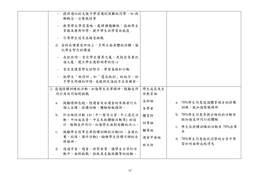| 提供適切的支援予學習遇到困難的同學,如:拆<br>解概念、分層教材等<br>- 教導學生學習策略,處理課題難點,協助學生<br>掌握及應用所學,提升學生的學習效能感<br>- 引導學生追求並接受挑戰<br>d. 各科在課業及評估上,多用正面具體的回饋,強<br>化學生努力的價值<br>在批改時,肯定學生優異之處,及指出需要改<br>進之處,建立學生應對測考的信心<br>- 肯定及讚賞學生的努力、學習策略和行動<br>- 就學生「做得好」和「還沒做到」的地方,給<br>予學生明確的評語,並提供改進的方法及機會。 |                          |                                                          |
|-------------------------------------------------------------------------------------------------------------------------------------------------------------------------------------------------------------------------------------------------------------------|--------------------------|----------------------------------------------------------|
| 2. 透過持續訓練的活動,加強學生自律精神,鼓勵友伴<br>同行及共同面對挑戰<br>鼓勵環邨長跑、陸運會及水運會的參與者訂立<br>a.<br>個人目標,持續訓練,體驗堅毅精神。                                                                                                                                                                        | 學生成長及生<br>命教育組<br>各科組    | a. 70%學生同意透過體育項目的持續<br>訓練,能加強堅毅精神                        |
| b. 於全級性活動 (如:中一歷奇日營、中三遠足活<br>動、中四成長營、中五失敗體驗活動等)的設<br>計,強調友伴同行,加強學生面對困難的決心。                                                                                                                                                                                        | 各學會<br>體育科<br>訓導組<br>輔導組 | b. 70%學生同意參與全級性的活動有<br>助加強友伴同行的體驗<br>c. 學生在持續訓練的活動有70%出席 |
| c. 鼓勵學生恆常出席持續訓練的活動(如:各項比<br>賽、校隊、課外活動),鍛練學生持續不懈的自<br>律精神。<br>d. 透過早會、週會、班聚會等,讓學生分享於活<br>動中,面對挑戰、挫敗及克服困難等的經驗。                                                                                                                                                      | 週會早會組<br>班主任             | 率<br>d. 70%學生同意能從同學的分享中學<br>習如何面對成敗得失                    |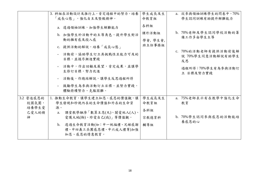|                | 3. 科組在活動設計及推行上,肯定過程中的努力,培養<br>「成長心態」,強化自主及堅毅精神。                  | 學生成長及生<br>命教育組 | a. 從參與領袖訓練學生的問卷中,70%<br>學生認同訓練有助提升解難能力         |
|----------------|------------------------------------------------------------------|----------------|------------------------------------------------|
|                | a. 透過領袖訓練,加強學生解難能力                                               | 各科組            |                                                |
|                | b. 加強學生於活動中的主導角色,提升學生對活                                          | 課外活動組          | b. 70%老師及學生認同學校活動的籌<br>備工作多由學生主導               |
|                | 動的擁有感及投入感                                                        | 學會, 學生會,       |                                                |
|                | c. 提供活動的解說,培養「成長心態」                                              | 班主任事務組         |                                                |
|                | 活動前,協助學生訂立具挑戰性且能力可及的<br>$\blacksquare$<br>目標,並循序漸進實踐             |                | c. 70%的活動老師有提供活動前後解<br>說 70%學生同意活動解說有助學生<br>反思 |
|                | - 活動中,作出回顧及展望,肯定成果,並讓學<br>生修訂目標,努力改進                             |                | 過程所得;70%學生有為參與活動訂<br>立 目標及努力實踐                 |
|                | 活動後,作總結解說,讓學生反思過程所得                                              |                |                                                |
|                | 鼓勵學生為參與活動訂立目標,並努力實踐,<br>$\overline{\phantom{a}}$<br>體驗持續努力、克服困難。 |                |                                                |
| 3.2 營造感恩的      | 1. 推動生命教育,讓學生建立知恩、感恩的價值觀,讓                                       | 學生成長及生         | a. 75%老師表示有在教學中強化生命                            |
| 校園氛圍,<br>培養學生愛 | 學生發現和珍視內在的生命價值和外在的生命資<br>源。                                      | 命教育組           | 教育                                             |
| 己愛人的精          | 課堂教學融滲「數算主恩(天)、關愛他人(人)、<br>a.                                    | 各科組            |                                                |
| 神              | 愛護大地(物)、珍愛自己(我)」等價值觀。                                            | 宗教德育科          | b. 70%學生認同參與感恩的活動能培<br>養感恩的心                   |
|                | b. 透過生命教育活動(如:中一祝福禮、兄姊感謝                                         | 輔導組            |                                                |
|                | 禮、中四義工兵團感恩禮、中六成人禮等)加強<br>知恩、感恩的情意教育。                             |                |                                                |
|                |                                                                  |                |                                                |